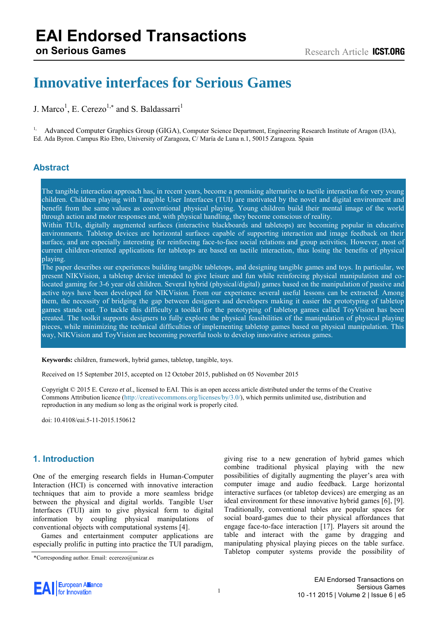# **EAI Endorsed Transactions**

# **Innovative interfaces for Serious Games**

J. Marco<sup>1</sup>, E. Cerezo<sup>1,\*</sup> and S. Baldassarri<sup>1</sup>

<sup>1,</sup> Advanced Computer Graphics Group (GIGA), Computer Science Department, Engineering Research Institute of Aragon (I3A), Ed. Ada Byron. Campus Río Ebro, University of Zaragoza, C/ María de Luna n.1, 50015 Zaragoza. Spain

# **Abstract**

The tangible interaction approach has, in recent years, become a promising alternative to tactile interaction for very young children. Children playing with Tangible User Interfaces (TUI) are motivated by the novel and digital environment and benefit from the same values as conventional physical playing. Young children build their mental image of the world through action and motor responses and, with physical handling, they become conscious of reality.

Within TUIs, digitally augmented surfaces (interactive blackboards and tabletops) are becoming popular in educative environments. Tabletop devices are horizontal surfaces capable of supporting interaction and image feedback on their surface, and are especially interesting for reinforcing face-to-face social relations and group activities. However, most of current children-oriented applications for tabletops are based on tactile interaction, thus losing the benefits of physical playing.

The paper describes our experiences building tangible tabletops, and designing tangible games and toys. In particular, we present NIKVision, a tabletop device intended to give leisure and fun while reinforcing physical manipulation and colocated gaming for 3-6 year old children. Several hybrid (physical/digital) games based on the manipulation of passive and active toys have been developed for NIKVision. From our experience several useful lessons can be extracted. Among them, the necessity of bridging the gap between designers and developers making it easier the prototyping of tabletop games stands out. To tackle this difficulty a toolkit for the prototyping of tabletop games called ToyVision has been created. The toolkit supports designers to fully explore the physical feasibilities of the manipulation of physical playing pieces, while minimizing the technical difficulties of implementing tabletop games based on physical manipulation. This way, NIKVision and ToyVision are becoming powerful tools to develop innovative serious games.

**Keywords:** children, framework, hybrid games, tabletop, tangible, toys.

Received on 15 September 2015, accepted on 12 October 2015, published on 05 November 2015

Copyright © 2015 E. Cerezo *et al.*, licensed to EAI. This is an open access article distributed under the terms of the Creative Commons Attribution licence [\(http://creativecommons.org/licenses/by/3.0/\)](http://creativecommons.org/licenses/by/3.0/), which permits unlimited use, distribution and reproduction in any medium so long as the original work is properly cited.

doi: 10.4108/eai.5-11-2015.150612

# **1. Introduction**

One of the emerging research fields in Human-Computer Interaction (HCI) is concerned with innovative interaction techniques that aim to provide a more seamless bridge between the physical and digital worlds. Tangible User Interfaces (TUI) aim to give physical form to digital information by coupling physical manipulations of conventional objects with computational systems [4].

Games and entertainment computer applications are especially prolific in putting into practice the TUI paradigm, giving rise to a new generation of hybrid games which combine traditional physical playing with the new possibilities of digitally augmenting the player's area with computer image and audio feedback. Large horizontal interactive surfaces (or tabletop devices) are emerging as an ideal environment for these innovative hybrid games [6], [9]. Traditionally, conventional tables are popular spaces for social board-games due to their physical affordances that engage face-to-face interaction [17]. Players sit around the table and interact with the game by dragging and manipulating physical playing pieces on the table surface. Tabletop computer systems provide the possibility of



<sup>\*</sup>Corresponding author. Email: ecerezo@unizar.es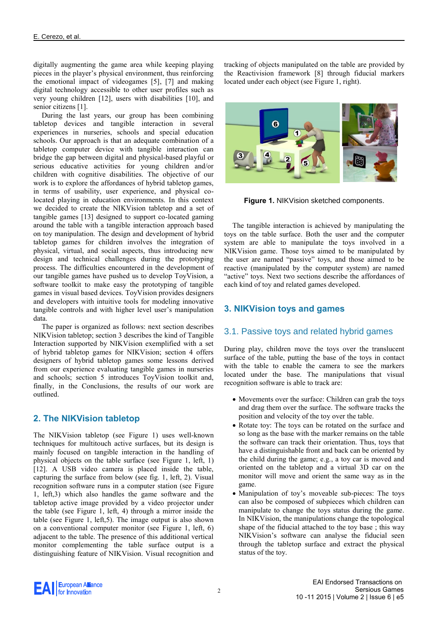digitally augmenting the game area while keeping playing pieces in the player's physical environment, thus reinforcing the emotional impact of videogames [5], [7] and making digital technology accessible to other user profiles such as very young children [12], users with disabilities [10], and senior citizens [1].

During the last years, our group has been combining tabletop devices and tangible interaction in several experiences in nurseries, schools and special education schools. Our approach is that an adequate combination of a tabletop computer device with tangible interaction can bridge the gap between digital and physical-based playful or serious educative activities for young children and/or children with cognitive disabilities. The objective of our work is to explore the affordances of hybrid tabletop games, in terms of usability, user experience, and physical colocated playing in education environments. In this context we decided to create the NIKVision tabletop and a set of tangible games [13] designed to support co-located gaming around the table with a tangible interaction approach based on toy manipulation. The design and development of hybrid tabletop games for children involves the integration of physical, virtual, and social aspects, thus introducing new design and technical challenges during the prototyping process. The difficulties encountered in the development of our tangible games have pushed us to develop ToyVision, a software toolkit to make easy the prototyping of tangible games in visual based devices. ToyVision provides designers and developers with intuitive tools for modeling innovative tangible controls and with higher level user's manipulation data.

The paper is organized as follows: next section describes NIKVision tabletop; section 3 describes the kind of Tangible Interaction supported by NIKVision exemplified with a set of hybrid tabletop games for NIKVision; section 4 offers designers of hybrid tabletop games some lessons derived from our experience evaluating tangible games in nurseries and schools; section 5 introduces ToyVision toolkit and, finally, in the Conclusions, the results of our work are outlined.

# **2. The NIKVision tabletop**

The NIKVision tabletop (see Figure 1) uses well-known techniques for multitouch active surfaces, but its design is mainly focused on tangible interaction in the handling of physical objects on the table surface (see Figure 1, left, 1) [12]. A USB video camera is placed inside the table, capturing the surface from below (see fig. 1, left, 2). Visual recognition software runs in a computer station (see Figure 1, left,3) which also handles the game software and the tabletop active image provided by a video projector under the table (see Figure 1, left, 4) through a mirror inside the table (see Figure 1, left,5). The image output is also shown on a conventional computer monitor (see Figure 1, left, 6) adjacent to the table. The presence of this additional vertical monitor complementing the table surface output is a distinguishing feature of NIKVision. Visual recognition and

tracking of objects manipulated on the table are provided by the Reactivision framework [8] through fiducial markers located under each object (see Figure 1, right).



**Figure 1.** NIKVision sketched components.

The tangible interaction is achieved by manipulating the toys on the table surface. Both the user and the computer system are able to manipulate the toys involved in a NIKVision game. Those toys aimed to be manipulated by the user are named "passive" toys, and those aimed to be reactive (manipulated by the computer system) are named "active" toys. Next two sections describe the affordances of each kind of toy and related games developed.

# **3. NIKVision toys and games**

#### 3.1. Passive toys and related hybrid games

During play, children move the toys over the translucent surface of the table, putting the base of the toys in contact with the table to enable the camera to see the markers located under the base. The manipulations that visual recognition software is able to track are:

- Movements over the surface: Children can grab the toys and drag them over the surface. The software tracks the position and velocity of the toy over the table.
- Rotate toy: The toys can be rotated on the surface and so long as the base with the marker remains on the table the software can track their orientation. Thus, toys that have a distinguishable front and back can be oriented by the child during the game; e.g., a toy car is moved and oriented on the tabletop and a virtual 3D car on the monitor will move and orient the same way as in the game.
- Manipulation of toy's moveable sub-pieces: The toys can also be composed of subpieces which children can manipulate to change the toys status during the game. In NIKVision, the manipulations change the topological shape of the fiducial attached to the toy base ; this way NIKVision's software can analyse the fiducial seen through the tabletop surface and extract the physical status of the toy.

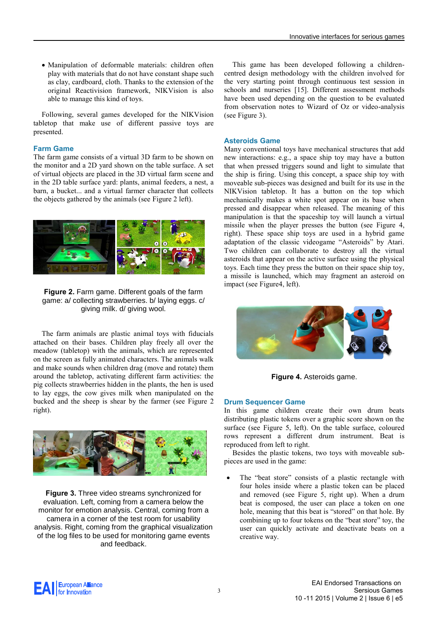Manipulation of deformable materials: children often play with materials that do not have constant shape such as clay, cardboard, cloth. Thanks to the extension of the original Reactivision framework, NIKVision is also able to manage this kind of toys.

Following, several games developed for the NIKVision tabletop that make use of different passive toys are presented.

#### **Farm Game**

The farm game consists of a virtual 3D farm to be shown on the monitor and a 2D yard shown on the table surface. A set of virtual objects are placed in the 3D virtual farm scene and in the 2D table surface yard: plants, animal feeders, a nest, a barn, a bucket... and a virtual farmer character that collects the objects gathered by the animals (see Figure 2 left).



**Figure 2.** Farm game. Different goals of the farm game: a/ collecting strawberries. b/ laying eggs. c/ giving milk. d/ giving wool.

The farm animals are plastic animal toys with fiducials attached on their bases. Children play freely all over the meadow (tabletop) with the animals, which are represented on the screen as fully animated characters. The animals walk and make sounds when children drag (move and rotate) them around the tabletop, activating different farm activities: the pig collects strawberries hidden in the plants, the hen is used to lay eggs, the cow gives milk when manipulated on the bucked and the sheep is shear by the farmer (see Figure 2 right).



**Figure 3.** Three video streams synchronized for evaluation. Left, coming from a camera below the monitor for emotion analysis. Central, coming from a camera in a corner of the test room for usability analysis. Right, coming from the graphical visualization of the log files to be used for monitoring game events and feedback.

This game has been developed following a childrencentred design methodology with the children involved for the very starting point through continuous test session in schools and nurseries [15]. Different assessment methods have been used depending on the question to be evaluated from observation notes to Wizard of Oz or video-analysis (see Figure 3).

#### **Asteroids Game**

Many conventional toys have mechanical structures that add new interactions: e.g., a space ship toy may have a button that when pressed triggers sound and light to simulate that the ship is firing. Using this concept, a space ship toy with moveable sub-pieces was designed and built for its use in the NIKVision tabletop. It has a button on the top which mechanically makes a white spot appear on its base when pressed and disappear when released. The meaning of this manipulation is that the spaceship toy will launch a virtual missile when the player presses the button (see Figure 4, right). These space ship toys are used in a hybrid game adaptation of the classic videogame "Asteroids" by Atari. Two children can collaborate to destroy all the virtual asteroids that appear on the active surface using the physical toys. Each time they press the button on their space ship toy, a missile is launched, which may fragment an asteroid on impact (see Figure4, left).



**Figure 4.** Asteroids game.

#### **Drum Sequencer Game**

In this game children create their own drum beats distributing plastic tokens over a graphic score shown on the surface (see Figure 5, left). On the table surface, coloured rows represent a different drum instrument. Beat is reproduced from left to right.

Besides the plastic tokens, two toys with moveable subpieces are used in the game:

 The "beat store" consists of a plastic rectangle with four holes inside where a plastic token can be placed and removed (see Figure 5, right up). When a drum beat is composed, the user can place a token on one hole, meaning that this beat is "stored" on that hole. By combining up to four tokens on the "beat store" toy, the user can quickly activate and deactivate beats on a creative way.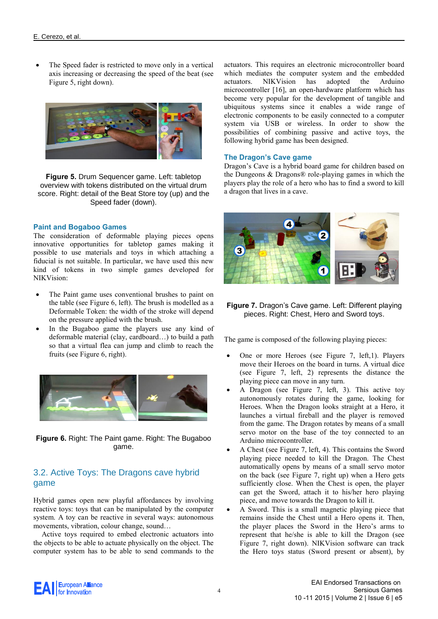The Speed fader is restricted to move only in a vertical axis increasing or decreasing the speed of the beat (see Figure 5, right down).



**Figure 5.** Drum Sequencer game. Left: tabletop overview with tokens distributed on the virtual drum score. Right: detail of the Beat Store toy (up) and the Speed fader (down).

#### **Paint and Bogaboo Games**

The consideration of deformable playing pieces opens innovative opportunities for tabletop games making it possible to use materials and toys in which attaching a fiducial is not suitable. In particular, we have used this new kind of tokens in two simple games developed for NIKVision:

- The Paint game uses conventional brushes to paint on the table (see Figure 6, left). The brush is modelled as a Deformable Token: the width of the stroke will depend on the pressure applied with the brush.
- In the Bugaboo game the players use any kind of deformable material (clay, cardboard…) to build a path so that a virtual flea can jump and climb to reach the fruits (see Figure 6, right).



**Figure 6.** Right: The Paint game. Right: The Bugaboo game.

# 3.2. Active Toys: The Dragons cave hybrid game

Hybrid games open new playful affordances by involving reactive toys: toys that can be manipulated by the computer system. A toy can be reactive in several ways: autonomous movements, vibration, colour change, sound…

Active toys required to embed electronic actuators into the objects to be able to actuate physically on the object. The computer system has to be able to send commands to the

actuators. This requires an electronic microcontroller board which mediates the computer system and the embedded actuators. NIKVision has adopted the Arduino microcontroller [16], an open-hardware platform which has become very popular for the development of tangible and ubiquitous systems since it enables a wide range of electronic components to be easily connected to a computer system via USB or wireless. In order to show the possibilities of combining passive and active toys, the following hybrid game has been designed.

#### **The Dragon's Cave game**

Dragon's Cave is a hybrid board game for children based on the Dungeons & Dragons® role-playing games in which the players play the role of a hero who has to find a sword to kill a dragon that lives in a cave.



**Figure 7.** Dragon's Cave game. Left: Different playing pieces. Right: Chest, Hero and Sword toys.

The game is composed of the following playing pieces:

- One or more Heroes (see Figure 7, left,1). Players move their Heroes on the board in turns. A virtual dice (see Figure 7, left, 2) represents the distance the playing piece can move in any turn.
- A Dragon (see Figure 7, left, 3). This active toy autonomously rotates during the game, looking for Heroes. When the Dragon looks straight at a Hero, it launches a virtual fireball and the player is removed from the game. The Dragon rotates by means of a small servo motor on the base of the toy connected to an Arduino microcontroller.
- A Chest (see Figure 7, left, 4). This contains the Sword playing piece needed to kill the Dragon. The Chest automatically opens by means of a small servo motor on the back (see Figure 7, right up) when a Hero gets sufficiently close. When the Chest is open, the player can get the Sword, attach it to his/her hero playing piece, and move towards the Dragon to kill it.
- A Sword. This is a small magnetic playing piece that remains inside the Chest until a Hero opens it. Then, the player places the Sword in the Hero's arms to represent that he/she is able to kill the Dragon (see Figure 7, right down). NIKVision software can track the Hero toys status (Sword present or absent), by

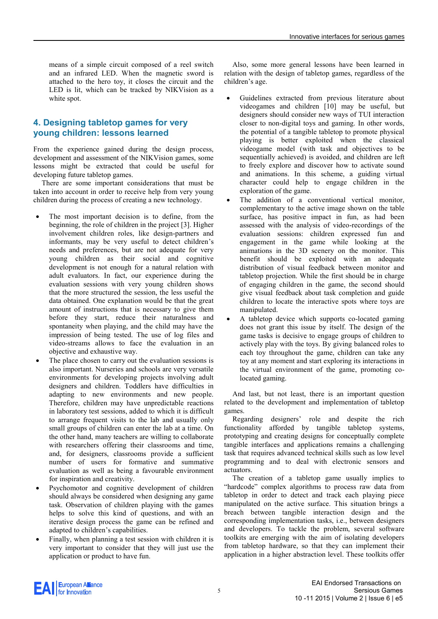means of a simple circuit composed of a reel switch and an infrared LED. When the magnetic sword is attached to the hero toy, it closes the circuit and the LED is lit, which can be tracked by NIKVision as a white spot.

### **4. Designing tabletop games for very young children: lessons learned**

From the experience gained during the design process, development and assessment of the NIKVision games, some lessons might be extracted that could be useful for developing future tabletop games.

There are some important considerations that must be taken into account in order to receive help from very young children during the process of creating a new technology.

- The most important decision is to define, from the beginning, the role of children in the project [3]. Higher involvement children roles, like design-partners and informants, may be very useful to detect children's needs and preferences, but are not adequate for very young children as their social and cognitive development is not enough for a natural relation with adult evaluators. In fact, our experience during the evaluation sessions with very young children shows that the more structured the session, the less useful the data obtained. One explanation would be that the great amount of instructions that is necessary to give them before they start, reduce their naturalness and spontaneity when playing, and the child may have the impression of being tested. The use of log files and video-streams allows to face the evaluation in an objective and exhaustive way.
- The place chosen to carry out the evaluation sessions is also important. Nurseries and schools are very versatile environments for developing projects involving adult designers and children. Toddlers have difficulties in adapting to new environments and new people. Therefore, children may have unpredictable reactions in laboratory test sessions, added to which it is difficult to arrange frequent visits to the lab and usually only small groups of children can enter the lab at a time. On the other hand, many teachers are willing to collaborate with researchers offering their classrooms and time, and, for designers, classrooms provide a sufficient number of users for formative and summative evaluation as well as being a favourable environment for inspiration and creativity.
- Psychomotor and cognitive development of children should always be considered when designing any game task. Observation of children playing with the games helps to solve this kind of questions, and with an iterative design process the game can be refined and adapted to children's capabilities.
- Finally, when planning a test session with children it is very important to consider that they will just use the application or product to have fun.

Also, some more general lessons have been learned in relation with the design of tabletop games, regardless of the children's age.

- Guidelines extracted from previous literature about videogames and children [10] may be useful, but designers should consider new ways of TUI interaction closer to non-digital toys and gaming. In other words, the potential of a tangible tabletop to promote physical playing is better exploited when the classical videogame model (with task and objectives to be sequentially achieved) is avoided, and children are left to freely explore and discover how to activate sound and animations. In this scheme, a guiding virtual character could help to engage children in the exploration of the game.
- The addition of a conventional vertical monitor, complementary to the active image shown on the table surface, has positive impact in fun, as had been assessed with the analysis of video-recordings of the evaluation sessions: children expressed fun and engagement in the game while looking at the animations in the 3D scenery on the monitor. This benefit should be exploited with an adequate distribution of visual feedback between monitor and tabletop projection. While the first should be in charge of engaging children in the game, the second should give visual feedback about task completion and guide children to locate the interactive spots where toys are manipulated.
- A tabletop device which supports co-located gaming does not grant this issue by itself. The design of the game tasks is decisive to engage groups of children to actively play with the toys. By giving balanced roles to each toy throughout the game, children can take any toy at any moment and start exploring its interactions in the virtual environment of the game, promoting colocated gaming.

And last, but not least, there is an important question related to the development and implementation of tabletop games.

Regarding designers' role and despite the rich functionality afforded by tangible tabletop systems, prototyping and creating designs for conceptually complete tangible interfaces and applications remains a challenging task that requires advanced technical skills such as low level programming and to deal with electronic sensors and actuators.

The creation of a tabletop game usually implies to "hardcode" complex algorithms to process raw data from tabletop in order to detect and track each playing piece manipulated on the active surface. This situation brings a breach between tangible interaction design and the corresponding implementation tasks, i.e., between designers and developers. To tackle the problem, several software toolkits are emerging with the aim of isolating developers from tabletop hardware, so that they can implement their application in a higher abstraction level. These toolkits offer

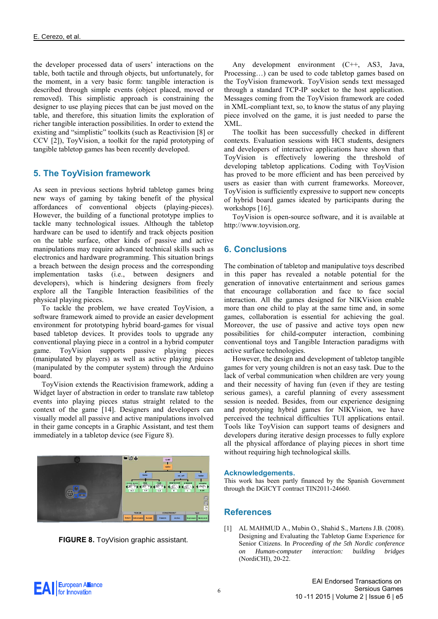the developer processed data of users' interactions on the table, both tactile and through objects, but unfortunately, for the moment, in a very basic form: tangible interaction is described through simple events (object placed, moved or removed). This simplistic approach is constraining the designer to use playing pieces that can be just moved on the table, and therefore, this situation limits the exploration of richer tangible interaction possibilities. In order to extend the existing and "simplistic" toolkits (such as Reactivision [8] or CCV [2]), ToyVision, a toolkit for the rapid prototyping of tangible tabletop games has been recently developed.

# **5. The ToyVision framework**

As seen in previous sections hybrid tabletop games bring new ways of gaming by taking benefit of the physical affordances of conventional objects (playing-pieces). However, the building of a functional prototype implies to tackle many technological issues. Although the tabletop hardware can be used to identify and track objects position on the table surface, other kinds of passive and active manipulations may require advanced technical skills such as electronics and hardware programming. This situation brings a breach between the design process and the corresponding implementation tasks (i.e., between designers and developers), which is hindering designers from freely explore all the Tangible Interaction feasibilities of the physical playing pieces.

To tackle the problem, we have created ToyVision, a software framework aimed to provide an easier development environment for prototyping hybrid board-games for visual based tabletop devices. It provides tools to upgrade any conventional playing piece in a control in a hybrid computer game. ToyVision supports passive playing pieces (manipulated by players) as well as active playing pieces (manipulated by the computer system) through the Arduino board.

ToyVision extends the Reactivision framework, adding a Widget layer of abstraction in order to translate raw tabletop events into playing pieces status straight related to the context of the game [14]. Designers and developers can visually model all passive and active manipulations involved in their game concepts in a Graphic Assistant, and test them immediately in a tabletop device (see Figure 8).





Any development environment (C++, AS3, Java, Processing…) can be used to code tabletop games based on the ToyVision framework. ToyVision sends text messaged through a standard TCP-IP socket to the host application. Messages coming from the ToyVision framework are coded in XML-compliant text, so, to know the status of any playing piece involved on the game, it is just needed to parse the XML.

The toolkit has been successfully checked in different contexts. Evaluation sessions with HCI students, designers and developers of interactive applications have shown that ToyVision is effectively lowering the threshold of developing tabletop applications. Coding with ToyVision has proved to be more efficient and has been perceived by users as easier than with current frameworks. Moreover, ToyVision is sufficiently expressive to support new concepts of hybrid board games ideated by participants during the workshops [16].

ToyVision is open-source software, and it is available at http://www.toyvision.org.

# **6. Conclusions**

The combination of tabletop and manipulative toys described in this paper has revealed a notable potential for the generation of innovative entertainment and serious games that encourage collaboration and face to face social interaction. All the games designed for NIKVision enable more than one child to play at the same time and, in some games, collaboration is essential for achieving the goal. Moreover, the use of passive and active toys open new possibilities for child-computer interaction, combining conventional toys and Tangible Interaction paradigms with active surface technologies.

However, the design and development of tabletop tangible games for very young children is not an easy task. Due to the lack of verbal communication when children are very young and their necessity of having fun (even if they are testing serious games), a careful planning of every assessment session is needed. Besides, from our experience designing and prototyping hybrid games for NIKVision, we have perceived the technical difficulties TUI applications entail. Tools like ToyVision can support teams of designers and developers during iterative design processes to fully explore all the physical affordance of playing pieces in short time without requiring high technological skills.

#### **Acknowledgements.**

This work has been partly financed by the Spanish Government through the DGICYT contract TIN2011-24660.

#### **References**

[1] AL MAHMUD A., Mubin O., Shahid S., Martens J.B. (2008). Designing and Evaluating the Tabletop Game Experience for Senior Citizens. In *Proceeding of the 5th Nordic conference on Human-computer interaction: building bridges* (NordiCHI), 20-22.